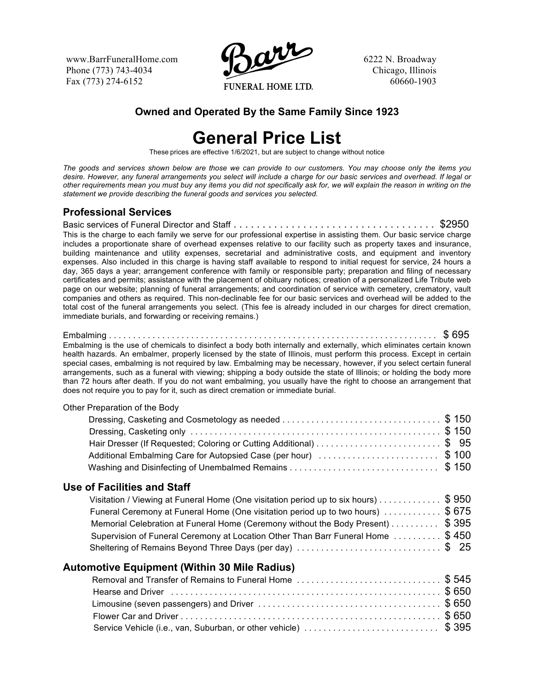www.BarrFuneralHome.com Phone (773) 743-4034 Fax (773) 274-6152



6222 N. Broadway Chicago, Illinois 60660-1903

## **Owned and Operated By the Same Family Since 1923**

## **General Price List**

These prices are effective 1/6/2021, but are subject to change without notice

*The goods and services shown below are those we can provide to our customers. You may choose only the items you desire. However, any funeral arrangements you select will include a charge for our basic services and overhead. If legal or other requirements mean you must buy any items you did not specifically ask for, we will explain the reason in writing on the statement we provide describing the funeral goods and services you selected.*

## **Professional Services**

Basic services of Funeral Director and Staff . . . . . . . . . . . . . . . . . . . . . . . . . . . . . . . . . . . \$2950 This is the charge to each family we serve for our professional expertise in assisting them. Our basic service charge includes a proportionate share of overhead expenses relative to our facility such as property taxes and insurance, building maintenance and utility expenses, secretarial and administrative costs, and equipment and inventory expenses. Also included in this charge is having staff available to respond to initial request for service, 24 hours a day, 365 days a year; arrangement conference with family or responsible party; preparation and filing of necessary certificates and permits; assistance with the placement of obituary notices; creation of a personalized Life Tribute web page on our website; planning of funeral arrangements; and coordination of service with cemetery, crematory, vault companies and others as required. This non-declinable fee for our basic services and overhead will be added to the total cost of the funeral arrangements you select. (This fee is already included in our charges for direct cremation, immediate burials, and forwarding or receiving remains.)

Embalming . . . . . . . . . . . . . . . . . . . . . . . . . . . . . . . . . . . . . . . . . . . . . . . . . . . . . . . . . . . . . . . . . . . . \$ 695 Embalming is the use of chemicals to disinfect a body both internally and externally, which eliminates certain known health hazards. An embalmer, properly licensed by the state of Illinois, must perform this process. Except in certain special cases, embalming is not required by law. Embalming may be necessary, however, if you select certain funeral arrangements, such as a funeral with viewing; shipping a body outside the state of Illinois; or holding the body more than 72 hours after death. If you do not want embalming, you usually have the right to choose an arrangement that does not require you to pay for it, such as direct cremation or immediate burial.

| Additional Embalming Care for Autopsied Case (per hour) \$100<br>\$150<br>Use of Facilities and Staff<br>Visitation / Viewing at Funeral Home (One visitation period up to six hours) \$ 950<br>Funeral Ceremony at Funeral Home (One visitation period up to two hours) \$675<br>Memorial Celebration at Funeral Home (Ceremony without the Body Present) \$ 395<br>Supervision of Funeral Ceremony at Location Other Than Barr Funeral Home  \$450<br>Sheltering of Remains Beyond Three Days (per day) \$25<br><b>Automotive Equipment (Within 30 Mile Radius)</b><br>Removal and Transfer of Remains to Funeral Home \$ 545 | Other Preparation of the Body |  |
|---------------------------------------------------------------------------------------------------------------------------------------------------------------------------------------------------------------------------------------------------------------------------------------------------------------------------------------------------------------------------------------------------------------------------------------------------------------------------------------------------------------------------------------------------------------------------------------------------------------------------------|-------------------------------|--|
|                                                                                                                                                                                                                                                                                                                                                                                                                                                                                                                                                                                                                                 |                               |  |
|                                                                                                                                                                                                                                                                                                                                                                                                                                                                                                                                                                                                                                 |                               |  |
|                                                                                                                                                                                                                                                                                                                                                                                                                                                                                                                                                                                                                                 |                               |  |
|                                                                                                                                                                                                                                                                                                                                                                                                                                                                                                                                                                                                                                 |                               |  |
|                                                                                                                                                                                                                                                                                                                                                                                                                                                                                                                                                                                                                                 |                               |  |
|                                                                                                                                                                                                                                                                                                                                                                                                                                                                                                                                                                                                                                 |                               |  |
|                                                                                                                                                                                                                                                                                                                                                                                                                                                                                                                                                                                                                                 |                               |  |
|                                                                                                                                                                                                                                                                                                                                                                                                                                                                                                                                                                                                                                 |                               |  |
|                                                                                                                                                                                                                                                                                                                                                                                                                                                                                                                                                                                                                                 |                               |  |
|                                                                                                                                                                                                                                                                                                                                                                                                                                                                                                                                                                                                                                 |                               |  |
|                                                                                                                                                                                                                                                                                                                                                                                                                                                                                                                                                                                                                                 |                               |  |
|                                                                                                                                                                                                                                                                                                                                                                                                                                                                                                                                                                                                                                 |                               |  |
|                                                                                                                                                                                                                                                                                                                                                                                                                                                                                                                                                                                                                                 |                               |  |
|                                                                                                                                                                                                                                                                                                                                                                                                                                                                                                                                                                                                                                 |                               |  |
|                                                                                                                                                                                                                                                                                                                                                                                                                                                                                                                                                                                                                                 |                               |  |
|                                                                                                                                                                                                                                                                                                                                                                                                                                                                                                                                                                                                                                 |                               |  |
|                                                                                                                                                                                                                                                                                                                                                                                                                                                                                                                                                                                                                                 |                               |  |

Service Vehicle (i.e., van, Suburban, or other vehicle) .................................\$ 395